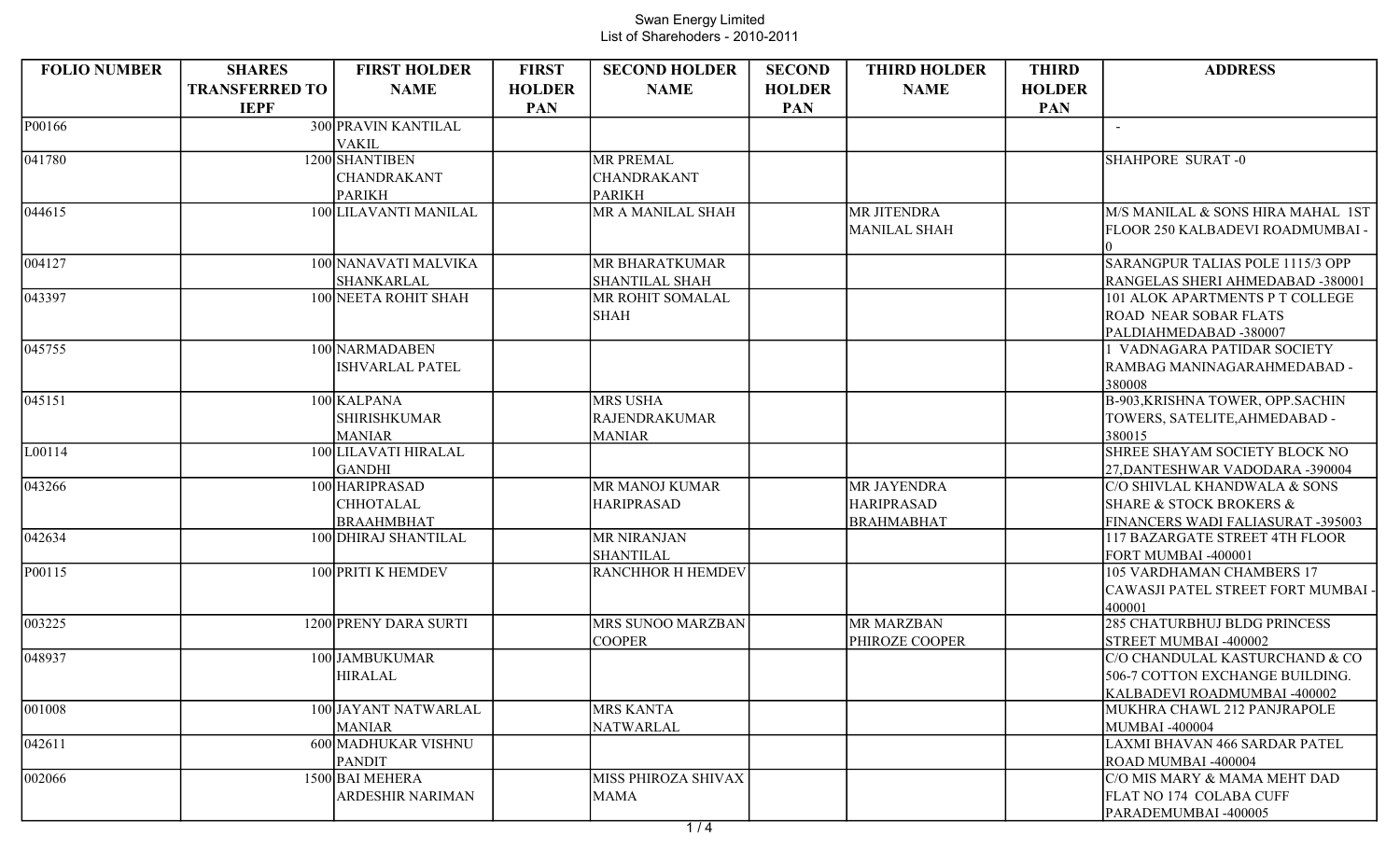| <b>FOLIO NUMBER</b> | <b>SHARES</b>         | <b>FIRST HOLDER</b>    | <b>FIRST</b>  | <b>SECOND HOLDER</b>     | <b>SECOND</b> | <b>THIRD HOLDER</b> | <b>THIRD</b>  | <b>ADDRESS</b>                                  |
|---------------------|-----------------------|------------------------|---------------|--------------------------|---------------|---------------------|---------------|-------------------------------------------------|
|                     | <b>TRANSFERRED TO</b> | <b>NAME</b>            | <b>HOLDER</b> | <b>NAME</b>              | <b>HOLDER</b> | <b>NAME</b>         | <b>HOLDER</b> |                                                 |
|                     | <b>IEPF</b>           |                        | <b>PAN</b>    |                          | <b>PAN</b>    |                     | <b>PAN</b>    |                                                 |
| P00166              |                       | 300 PRAVIN KANTILAL    |               |                          |               |                     |               | $\sim$                                          |
|                     |                       | <b>VAKIL</b>           |               |                          |               |                     |               |                                                 |
| 041780              |                       | 1200 SHANTIBEN         |               | <b>MR PREMAL</b>         |               |                     |               | SHAHPORE SURAT-0                                |
|                     |                       | <b>CHANDRAKANT</b>     |               | CHANDRAKANT              |               |                     |               |                                                 |
|                     |                       | <b>PARIKH</b>          |               | <b>PARIKH</b>            |               |                     |               |                                                 |
| 044615              |                       | 100 LILAVANTI MANILAL  |               | MR A MANILAL SHAH        |               | <b>MR JITENDRA</b>  |               | M/S MANILAL & SONS HIRA MAHAL 1ST               |
|                     |                       |                        |               |                          |               | MANILAL SHAH        |               | FLOOR 250 KALBADEVI ROADMUMBAI -                |
|                     |                       |                        |               |                          |               |                     |               |                                                 |
| 004127              |                       | 100 NANAVATI MALVIKA   |               | MR BHARATKUMAR           |               |                     |               | SARANGPUR TALIAS POLE 1115/3 OPP                |
|                     |                       | SHANKARLAL             |               | <b>SHANTILAL SHAH</b>    |               |                     |               | RANGELAS SHERI AHMEDABAD -380001                |
| 043397              |                       | 100 NEETA ROHIT SHAH   |               | MR ROHIT SOMALAL         |               |                     |               | 101 ALOK APARTMENTS P T COLLEGE                 |
|                     |                       |                        |               | <b>SHAH</b>              |               |                     |               | <b>ROAD NEAR SOBAR FLATS</b>                    |
|                     |                       |                        |               |                          |               |                     |               | PALDIAHMEDABAD-380007                           |
| 045755              |                       | 100 NARMADABEN         |               |                          |               |                     |               | VADNAGARA PATIDAR SOCIETY                       |
|                     |                       | <b>ISHVARLAL PATEL</b> |               |                          |               |                     |               | RAMBAG MANINAGARAHMEDABAD -                     |
|                     |                       |                        |               |                          |               |                     |               | 380008                                          |
| 045151              |                       | 100 KALPANA            |               | <b>MRS USHA</b>          |               |                     |               | <b>B-903, KRISHNA TOWER, OPP.SACHIN</b>         |
|                     |                       | <b>SHIRISHKUMAR</b>    |               | <b>RAJENDRAKUMAR</b>     |               |                     |               | TOWERS, SATELITE, AHMEDABAD -                   |
|                     |                       | <b>MANIAR</b>          |               | <b>MANIAR</b>            |               |                     |               | 380015                                          |
| L00114              |                       | 100 LILAVATI HIRALAL   |               |                          |               |                     |               | SHREE SHAYAM SOCIETY BLOCK NO                   |
|                     |                       | <b>GANDHI</b>          |               |                          |               |                     |               | 27, DANTESHWAR VADODARA -390004                 |
| 043266              |                       | 100 HARIPRASAD         |               | MR MANOJ KUMAR           |               | <b>MR JAYENDRA</b>  |               | C/O SHIVLAL KHANDWALA & SONS                    |
|                     |                       | <b>CHHOTALAL</b>       |               | <b>HARIPRASAD</b>        |               | <b>HARIPRASAD</b>   |               | <b>SHARE &amp; STOCK BROKERS &amp;</b>          |
|                     |                       | <b>BRAAHMBHAT</b>      |               |                          |               | <b>BRAHMABHAT</b>   |               | FINANCERS WADI FALIASURAT -395003               |
| 042634              |                       | 100 DHIRAJ SHANTILAL   |               | <b>MR NIRANJAN</b>       |               |                     |               | 117 BAZARGATE STREET 4TH FLOOR                  |
|                     |                       |                        |               | <b>SHANTILAL</b>         |               |                     |               | FORT MUMBAI -400001                             |
| P00115              |                       | 100 PRITI K HEMDEV     |               | <b>RANCHHOR H HEMDEV</b> |               |                     |               | 105 VARDHAMAN CHAMBERS 17                       |
|                     |                       |                        |               |                          |               |                     |               | CAWASJI PATEL STREET FORT MUMBAI                |
|                     |                       |                        |               |                          |               |                     |               | 400001                                          |
| 003225              |                       | 1200 PRENY DARA SURTI  |               | MRS SUNOO MARZBAN        |               | <b>MR MARZBAN</b>   |               | 285 CHATURBHUJ BLDG PRINCESS                    |
|                     |                       |                        |               | <b>COOPER</b>            |               | PHIROZE COOPER      |               | STREET MUMBAI -400002                           |
| 048937              |                       | 100 JAMBUKUMAR         |               |                          |               |                     |               | C/O CHANDULAL KASTURCHAND & CO                  |
|                     |                       | <b>HIRALAL</b>         |               |                          |               |                     |               | 506-7 COTTON EXCHANGE BUILDING.                 |
|                     |                       | 100 JAYANT NATWARLAL   |               | <b>MRS KANTA</b>         |               |                     |               | KALBADEVI ROADMUMBAI -400002                    |
| 001008              |                       | <b>MANIAR</b>          |               |                          |               |                     |               | MUKHRA CHAWL 212 PANJRAPOLE                     |
| 042611              |                       | 600 MADHUKAR VISHNU    |               | <b>NATWARLAL</b>         |               |                     |               | MUMBAI -400004<br>LAXMI BHAVAN 466 SARDAR PATEL |
|                     |                       | <b>PANDIT</b>          |               |                          |               |                     |               | ROAD MUMBAI -400004                             |
| 002066              |                       | 1500 BAI MEHERA        |               | MISS PHIROZA SHIVAX      |               |                     |               | C/O MIS MARY & MAMA MEHT DAD                    |
|                     |                       | ARDESHIR NARIMAN       |               | MAMA                     |               |                     |               | FLAT NO 174 COLABA CUFF                         |
|                     |                       |                        |               |                          |               |                     |               | PARADEMUMBAI -400005                            |
|                     |                       |                        |               |                          |               |                     |               |                                                 |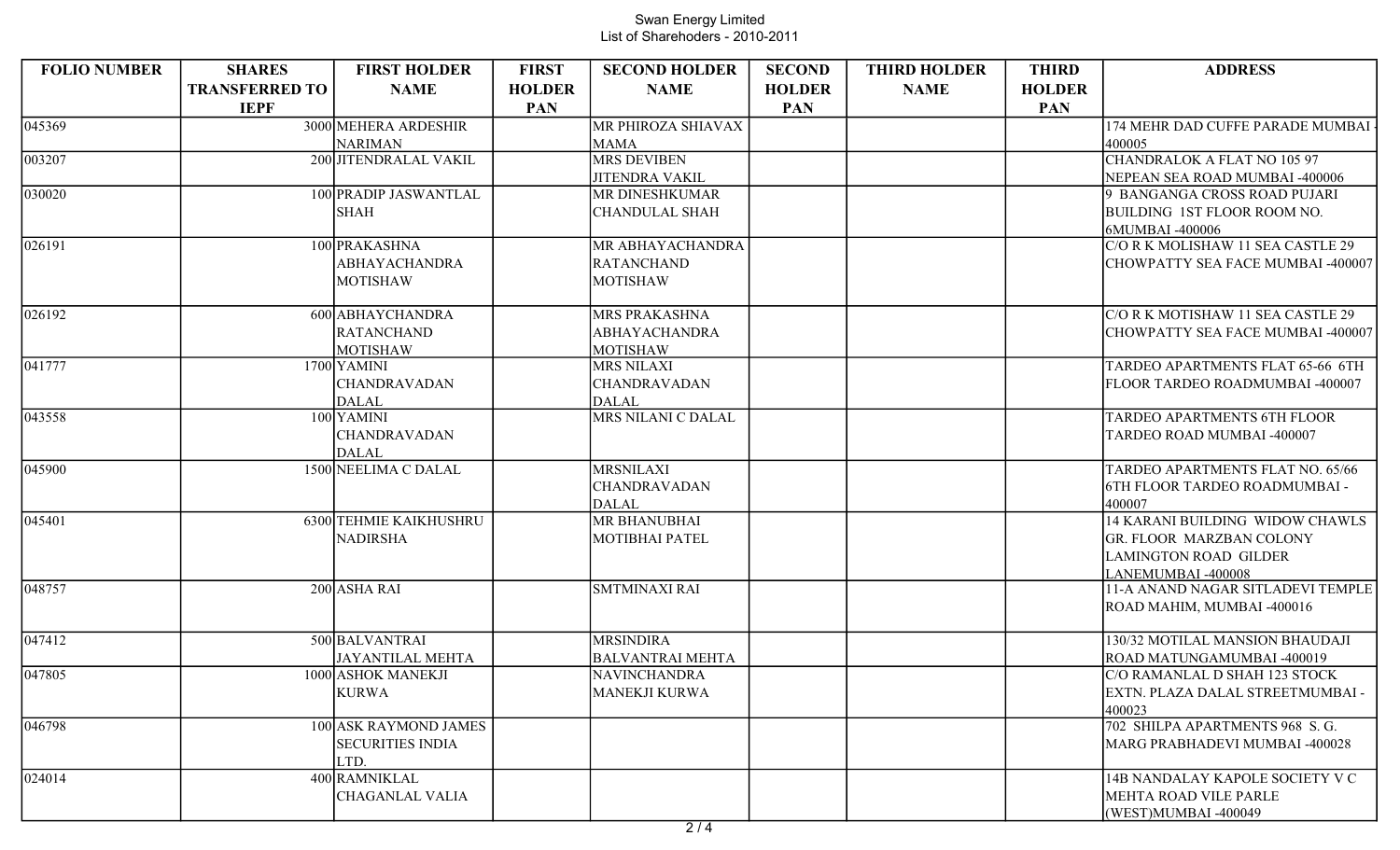| <b>FOLIO NUMBER</b> | <b>SHARES</b>         | <b>FIRST HOLDER</b>     | <b>FIRST</b>  | <b>SECOND HOLDER</b>    | <b>SECOND</b> | <b>THIRD HOLDER</b> | <b>THIRD</b>  | <b>ADDRESS</b>                     |
|---------------------|-----------------------|-------------------------|---------------|-------------------------|---------------|---------------------|---------------|------------------------------------|
|                     | <b>TRANSFERRED TO</b> | <b>NAME</b>             | <b>HOLDER</b> | <b>NAME</b>             | <b>HOLDER</b> | <b>NAME</b>         | <b>HOLDER</b> |                                    |
|                     | <b>IEPF</b>           |                         | <b>PAN</b>    |                         | <b>PAN</b>    |                     | <b>PAN</b>    |                                    |
| $\sqrt{045369}$     |                       | 3000 MEHERA ARDESHIR    |               | MR PHIROZA SHIAVAX      |               |                     |               | 174 MEHR DAD CUFFE PARADE MUMBAI   |
|                     |                       | <b>NARIMAN</b>          |               | <b>MAMA</b>             |               |                     |               | 400005                             |
| 003207              |                       | 200 JITENDRALAL VAKIL   |               | <b>MRS DEVIBEN</b>      |               |                     |               | CHANDRALOK A FLAT NO 105 97        |
|                     |                       |                         |               | <b>JITENDRA VAKIL</b>   |               |                     |               | NEPEAN SEA ROAD MUMBAI -400006     |
| $\sqrt{030020}$     |                       | 100 PRADIP JASWANTLAL   |               | <b>MR DINESHKUMAR</b>   |               |                     |               | 9 BANGANGA CROSS ROAD PUJARI       |
|                     |                       | <b>SHAH</b>             |               | <b>CHANDULAL SHAH</b>   |               |                     |               | BUILDING 1ST FLOOR ROOM NO.        |
|                     |                       |                         |               |                         |               |                     |               | 6MUMBAI -400006                    |
| 026191              |                       | 100 PRAKASHNA           |               | MR ABHAYACHANDRA        |               |                     |               | C/O R K MOLISHAW 11 SEA CASTLE 29  |
|                     |                       | <b>ABHAYACHANDRA</b>    |               | <b>RATANCHAND</b>       |               |                     |               | CHOWPATTY SEA FACE MUMBAI -400007  |
|                     |                       | <b>MOTISHAW</b>         |               | <b>MOTISHAW</b>         |               |                     |               |                                    |
| 026192              |                       | 600 ABHAYCHANDRA        |               | <b>MRS PRAKASHNA</b>    |               |                     |               | C/O R K MOTISHAW 11 SEA CASTLE 29  |
|                     |                       | <b>RATANCHAND</b>       |               | <b>ABHAYACHANDRA</b>    |               |                     |               | CHOWPATTY SEA FACE MUMBAI -400007  |
|                     |                       | <b>MOTISHAW</b>         |               | <b>MOTISHAW</b>         |               |                     |               |                                    |
| 041777              |                       | 1700 YAMINI             |               | <b>MRS NILAXI</b>       |               |                     |               | TARDEO APARTMENTS FLAT 65-66 6TH   |
|                     |                       | <b>CHANDRAVADAN</b>     |               | <b>CHANDRAVADAN</b>     |               |                     |               | FLOOR TARDEO ROADMUMBAI -400007    |
|                     |                       | <b>DALAL</b>            |               | <b>DALAL</b>            |               |                     |               |                                    |
| $\sqrt{043558}$     |                       | 100 YAMINI              |               | MRS NILANI C DALAL      |               |                     |               | <b>TARDEO APARTMENTS 6TH FLOOR</b> |
|                     |                       | <b>CHANDRAVADAN</b>     |               |                         |               |                     |               | TARDEO ROAD MUMBAI -400007         |
|                     |                       | <b>DALAL</b>            |               |                         |               |                     |               |                                    |
| $\sqrt{045900}$     |                       | 1500 NEELIMA C DALAL    |               | <b>MRSNILAXI</b>        |               |                     |               | TARDEO APARTMENTS FLAT NO. 65/66   |
|                     |                       |                         |               | <b>CHANDRAVADAN</b>     |               |                     |               | 6TH FLOOR TARDEO ROADMUMBAI -      |
|                     |                       |                         |               | <b>DALAL</b>            |               |                     |               | 400007                             |
| $\sqrt{045401}$     |                       | 6300 TEHMIE KAIKHUSHRU  |               | <b>MR BHANUBHAI</b>     |               |                     |               | 14 KARANI BUILDING WIDOW CHAWLS    |
|                     |                       | <b>NADIRSHA</b>         |               | <b>MOTIBHAI PATEL</b>   |               |                     |               | GR. FLOOR MARZBAN COLONY           |
|                     |                       |                         |               |                         |               |                     |               | <b>LAMINGTON ROAD GILDER</b>       |
| 048757              |                       |                         |               |                         |               |                     |               | LANEMUMBAI -400008                 |
|                     |                       | 200 ASHA RAI            |               | <b>SMTMINAXI RAI</b>    |               |                     |               | 11-A ANAND NAGAR SITLADEVI TEMPLE  |
|                     |                       |                         |               |                         |               |                     |               | ROAD MAHIM, MUMBAI -400016         |
| 047412              |                       | 500 BALVANTRAI          |               | <b>MRSINDIRA</b>        |               |                     |               | 130/32 MOTILAL MANSION BHAUDAJI    |
|                     |                       | <b>JAYANTILAL MEHTA</b> |               | <b>BALVANTRAI MEHTA</b> |               |                     |               | ROAD MATUNGAMUMBAI -400019         |
| 047805              |                       | 1000 ASHOK MANEKJI      |               | NAVINCHANDRA            |               |                     |               | C/O RAMANLAL D SHAH 123 STOCK      |
|                     |                       | <b>KURWA</b>            |               | <b>MANEKJI KURWA</b>    |               |                     |               | EXTN. PLAZA DALAL STREETMUMBAI -   |
|                     |                       |                         |               |                         |               |                     |               | 400023                             |
| 046798              |                       | 100 ASK RAYMOND JAMES   |               |                         |               |                     |               | 702 SHILPA APARTMENTS 968 S.G.     |
|                     |                       | <b>SECURITIES INDIA</b> |               |                         |               |                     |               | MARG PRABHADEVI MUMBAI -400028     |
|                     |                       | LTD.                    |               |                         |               |                     |               |                                    |
| $\sqrt{024014}$     |                       | 400 RAMNIKLAL           |               |                         |               |                     |               | 14B NANDALAY KAPOLE SOCIETY V C    |
|                     |                       | <b>CHAGANLAL VALIA</b>  |               |                         |               |                     |               | MEHTA ROAD VILE PARLE              |
|                     |                       |                         |               |                         |               |                     |               | (WEST)MUMBAI -400049               |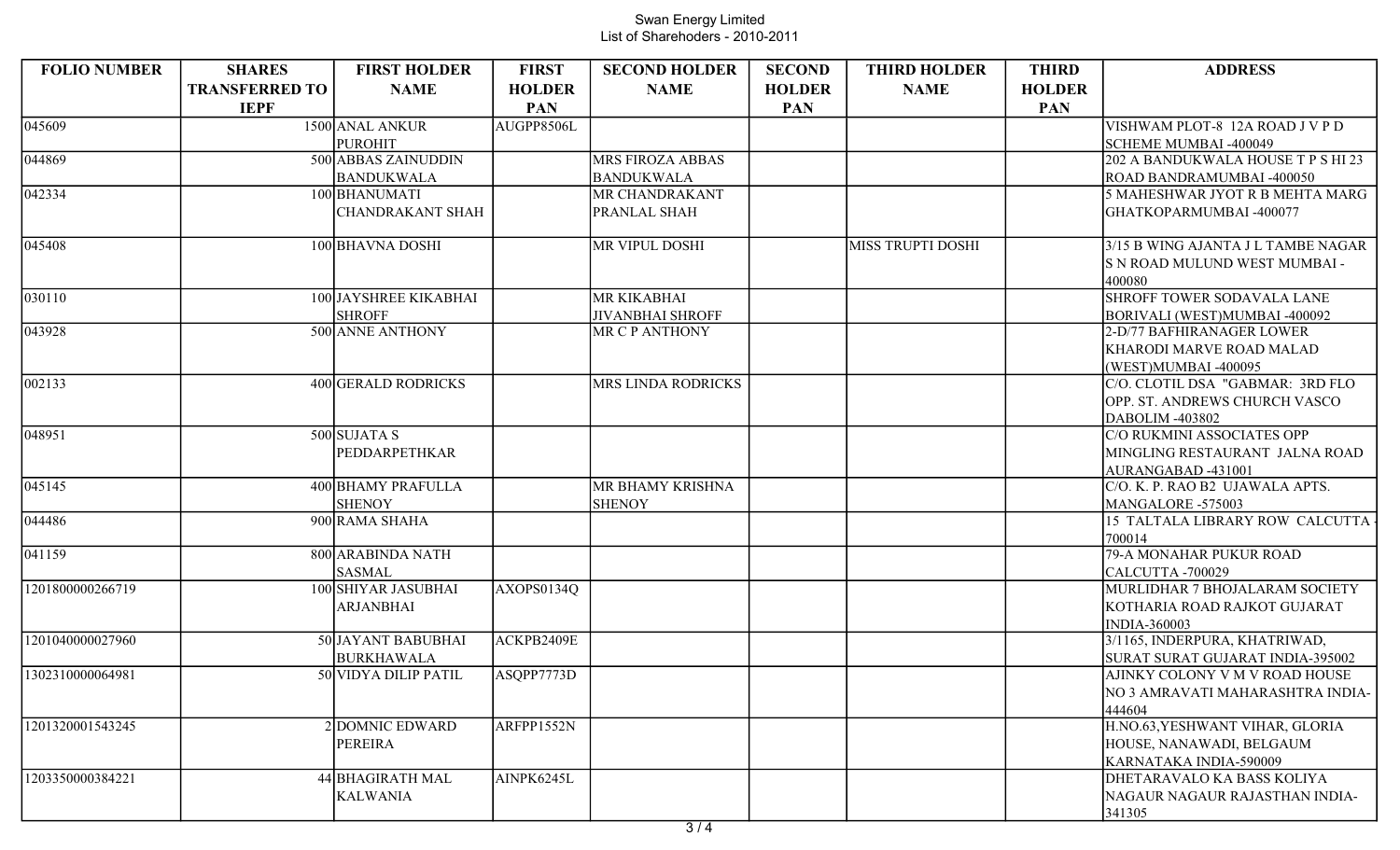| <b>FOLIO NUMBER</b> | <b>SHARES</b>         | <b>FIRST HOLDER</b>                    | <b>FIRST</b>  | <b>SECOND HOLDER</b>    | <b>SECOND</b> | <b>THIRD HOLDER</b>      | <b>THIRD</b>  | <b>ADDRESS</b>                                             |
|---------------------|-----------------------|----------------------------------------|---------------|-------------------------|---------------|--------------------------|---------------|------------------------------------------------------------|
|                     | <b>TRANSFERRED TO</b> | <b>NAME</b>                            | <b>HOLDER</b> | <b>NAME</b>             | <b>HOLDER</b> | <b>NAME</b>              | <b>HOLDER</b> |                                                            |
|                     | <b>IEPF</b>           |                                        | <b>PAN</b>    |                         | <b>PAN</b>    |                          | <b>PAN</b>    |                                                            |
| 045609              |                       | 1500 ANAL ANKUR                        | AUGPP8506L    |                         |               |                          |               | VISHWAM PLOT-8 12A ROAD J V P D                            |
|                     |                       | <b>PUROHIT</b>                         |               |                         |               |                          |               | SCHEME MUMBAI -400049                                      |
| 044869              |                       | 500 ABBAS ZAINUDDIN                    |               | MRS FIROZA ABBAS        |               |                          |               | 202 A BANDUKWALA HOUSE T P S HI 23                         |
|                     |                       | <b>BANDUKWALA</b>                      |               | <b>BANDUKWALA</b>       |               |                          |               | ROAD BANDRAMUMBAI -400050                                  |
| 042334              |                       | 100 BHANUMATI                          |               | MR CHANDRAKANT          |               |                          |               | 5 MAHESHWAR JYOT R B MEHTA MARG                            |
|                     |                       | <b>CHANDRAKANT SHAH</b>                |               | PRANLAL SHAH            |               |                          |               | GHATKOPARMUMBAI-400077                                     |
|                     |                       |                                        |               |                         |               |                          |               |                                                            |
| $\sqrt{04}$ 5408    |                       | 100 BHAVNA DOSHI                       |               | MR VIPUL DOSHI          |               | <b>MISS TRUPTI DOSHI</b> |               | 3/15 B WING AJANTA J L TAMBE NAGAR                         |
|                     |                       |                                        |               |                         |               |                          |               | S N ROAD MULUND WEST MUMBAI -                              |
| 030110              |                       |                                        |               | MR KIKABHAI             |               |                          |               | 400080<br>SHROFF TOWER SODAVALA LANE                       |
|                     |                       | 100 JAYSHREE KIKABHAI<br><b>SHROFF</b> |               | <b>JIVANBHAI SHROFF</b> |               |                          |               |                                                            |
| 043928              |                       | 500 ANNE ANTHONY                       |               | MR C P ANTHONY          |               |                          |               | BORIVALI (WEST)MUMBAI -400092<br>2-D/77 BAFHIRANAGER LOWER |
|                     |                       |                                        |               |                         |               |                          |               | <b>KHARODI MARVE ROAD MALAD</b>                            |
|                     |                       |                                        |               |                         |               |                          |               | (WEST)MUMBAI -400095                                       |
| 002133              |                       | 400 GERALD RODRICKS                    |               | MRS LINDA RODRICKS      |               |                          |               | C/O. CLOTIL DSA "GABMAR: 3RD FLO                           |
|                     |                       |                                        |               |                         |               |                          |               | <b>OPP. ST. ANDREWS CHURCH VASCO</b>                       |
|                     |                       |                                        |               |                         |               |                          |               | DABOLIM -403802                                            |
| 048951              |                       | $500$ SUJATAS                          |               |                         |               |                          |               | C/O RUKMINI ASSOCIATES OPP                                 |
|                     |                       | PEDDARPETHKAR                          |               |                         |               |                          |               | MINGLING RESTAURANT JALNA ROAD                             |
|                     |                       |                                        |               |                         |               |                          |               | AURANGABAD -431001                                         |
| 045145              |                       | 400 BHAMY PRAFULLA                     |               | MR BHAMY KRISHNA        |               |                          |               | C/O. K. P. RAO B2 UJAWALA APTS.                            |
|                     |                       | <b>SHENOY</b>                          |               | <b>SHENOY</b>           |               |                          |               | MANGALORE -575003                                          |
| 044486              |                       | 900 RAMA SHAHA                         |               |                         |               |                          |               | 15 TALTALA LIBRARY ROW CALCUTTA                            |
|                     |                       |                                        |               |                         |               |                          |               | 700014                                                     |
| $\sqrt{041159}$     |                       | 800 ARABINDA NATH                      |               |                         |               |                          |               | 79-A MONAHAR PUKUR ROAD                                    |
|                     |                       | <b>SASMAL</b>                          |               |                         |               |                          |               | CALCUTTA -700029                                           |
| 1201800000266719    |                       | 100 SHIYAR JASUBHAI                    | AXOPS0134Q    |                         |               |                          |               | MURLIDHAR 7 BHOJALARAM SOCIETY                             |
|                     |                       | <b>ARJANBHAI</b>                       |               |                         |               |                          |               | KOTHARIA ROAD RAJKOT GUJARAT                               |
|                     |                       |                                        |               |                         |               |                          |               | <b>INDIA-360003</b>                                        |
| 1201040000027960    |                       | 50 JAYANT BABUBHAI                     | ACKPB2409E    |                         |               |                          |               | 3/1165, INDERPURA, KHATRIWAD,                              |
|                     |                       | <b>BURKHAWALA</b>                      |               |                         |               |                          |               | SURAT SURAT GUJARAT INDIA-395002                           |
| 1302310000064981    |                       | 50 VIDYA DILIP PATIL                   | ASQPP7773D    |                         |               |                          |               | AJINKY COLONY V M V ROAD HOUSE                             |
|                     |                       |                                        |               |                         |               |                          |               | NO 3 AMRAVATI MAHARASHTRA INDIA-                           |
|                     |                       |                                        |               |                         |               |                          |               | 444604                                                     |
| 1201320001543245    |                       | 2 DOMNIC EDWARD                        | ARFPP1552N    |                         |               |                          |               | H.NO.63, YESHWANT VIHAR, GLORIA                            |
|                     |                       | PEREIRA                                |               |                         |               |                          |               | HOUSE, NANAWADI, BELGAUM                                   |
|                     |                       |                                        |               |                         |               |                          |               | KARNATAKA INDIA-590009                                     |
| 1203350000384221    |                       | 44 BHAGIRATH MAL                       | AINPK6245L    |                         |               |                          |               | <b>DHETARAVALO KA BASS KOLIYA</b>                          |
|                     |                       | <b>KALWANIA</b>                        |               |                         |               |                          |               | NAGAUR NAGAUR RAJASTHAN INDIA-                             |
|                     |                       |                                        |               |                         |               |                          |               | 341305                                                     |